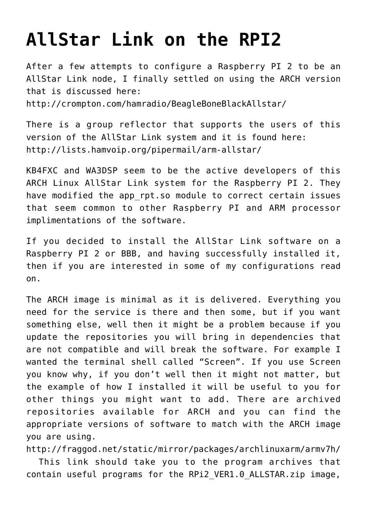## **[AllStar Link on the RPI2](http://www.ka7u.us/2016/03/04/allstar-link-on-the-rpi2/)**

After a few attempts to configure a Raspberry PI 2 to be an AllStar Link node, I finally settled on using the ARCH version that is discussed here: <http://crompton.com/hamradio/BeagleBoneBlackAllstar/>

There is a group reflector that supports the users of this version of the AllStar Link system and it is found here: <http://lists.hamvoip.org/pipermail/arm-allstar/>

KB4FXC and WA3DSP seem to be the active developers of this ARCH Linux AllStar Link system for the Raspberry PI 2. They have modified the app rpt.so module to correct certain issues that seem common to other Raspberry PI and ARM processor implimentations of the software.

If you decided to install the AllStar Link software on a Raspberry PI 2 or BBB, and having successfully installed it, then if you are interested in some of my configurations read on.

The ARCH image is minimal as it is delivered. Everything you need for the service is there and then some, but if you want something else, well then it might be a problem because if you update the repositories you will bring in dependencies that are not compatible and will break the software. For example I wanted the terminal shell called "Screen". If you use Screen you know why, if you don't well then it might not matter, but the example of how I installed it will be useful to you for other things you might want to add. There are archived repositories available for ARCH and you can find the appropriate versions of software to match with the ARCH image you are using.

<http://fraggod.net/static/mirror/packages/archlinuxarm/armv7h/> This link should take you to the program archives that contain useful programs for the RPi2 VER1.0 ALLSTAR.zip image,